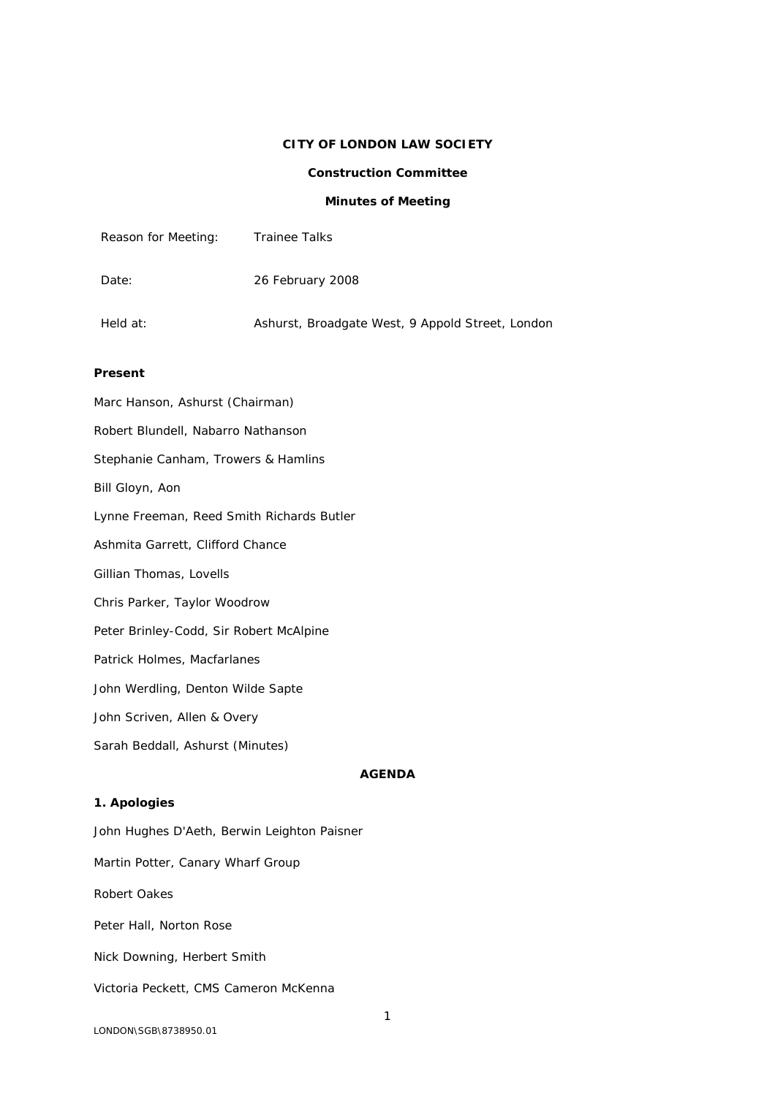# **CITY OF LONDON LAW SOCIETY**

## **Construction Committee**

## **Minutes of Meeting**

| Reason for Meeting: | Trainee Talks                                    |
|---------------------|--------------------------------------------------|
| Date:               | 26 February 2008                                 |
| Held at:            | Ashurst, Broadgate West, 9 Appold Street, London |

### **Present**

Marc Hanson, Ashurst (Chairman) Robert Blundell, Nabarro Nathanson Stephanie Canham, Trowers & Hamlins Bill Gloyn, Aon Lynne Freeman, Reed Smith Richards Butler Ashmita Garrett, Clifford Chance Gillian Thomas, Lovells Chris Parker, Taylor Woodrow Peter Brinley-Codd, Sir Robert McAlpine Patrick Holmes, Macfarlanes John Werdling, Denton Wilde Sapte John Scriven, Allen & Overy Sarah Beddall, Ashurst (Minutes) **AGENDA**

# **1. Apologies**

John Hughes D'Aeth, [Berwin Leighton Paisner](http://www.blplaw.com/) Martin Potter, Canary Wharf Group Robert Oakes Peter Hall, Norton Rose Nick Downing, Herbert Smith

Victoria Peckett, CMS Cameron McKenna